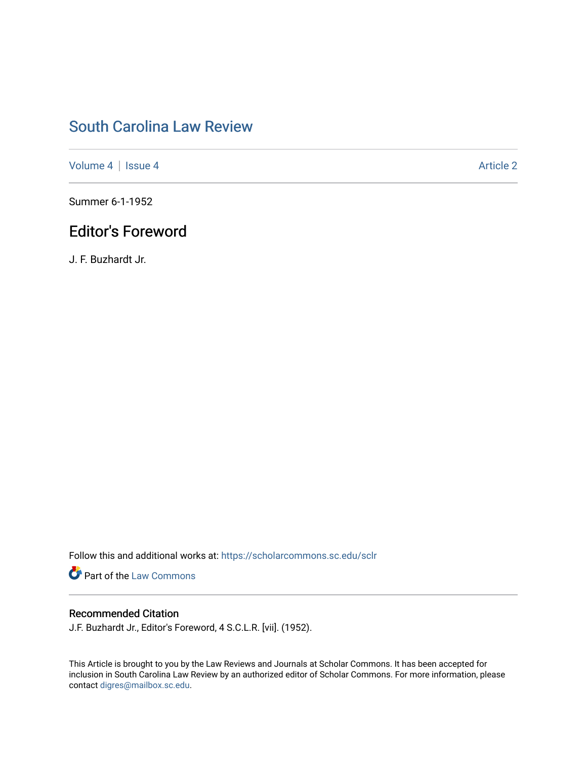## [South Carolina Law Review](https://scholarcommons.sc.edu/sclr)

[Volume 4](https://scholarcommons.sc.edu/sclr/vol4) | [Issue 4](https://scholarcommons.sc.edu/sclr/vol4/iss4) Article 2

Summer 6-1-1952

## Editor's Foreword

J. F. Buzhardt Jr.

Follow this and additional works at: [https://scholarcommons.sc.edu/sclr](https://scholarcommons.sc.edu/sclr?utm_source=scholarcommons.sc.edu%2Fsclr%2Fvol4%2Fiss4%2F2&utm_medium=PDF&utm_campaign=PDFCoverPages)

**Part of the [Law Commons](http://network.bepress.com/hgg/discipline/578?utm_source=scholarcommons.sc.edu%2Fsclr%2Fvol4%2Fiss4%2F2&utm_medium=PDF&utm_campaign=PDFCoverPages)** 

#### Recommended Citation

J.F. Buzhardt Jr., Editor's Foreword, 4 S.C.L.R. [vii]. (1952).

This Article is brought to you by the Law Reviews and Journals at Scholar Commons. It has been accepted for inclusion in South Carolina Law Review by an authorized editor of Scholar Commons. For more information, please contact [digres@mailbox.sc.edu.](mailto:digres@mailbox.sc.edu)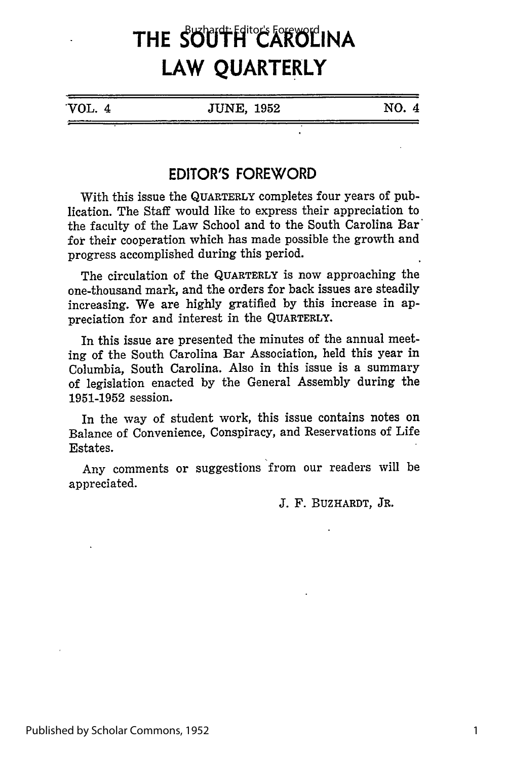# THE SOUTH<sup>\*</sup>CAROLINA **LAW QUARTERLY**

VOL. 4 JUNE, **1952 NO.** 4

### **EDITOR'S FOREWORD**

With this issue the QUARTERLY completes four years of publication. The Staff would like to express their appreciation to the faculty of the Law School and to the South Carolina Bar' for their cooperation which has made possible the growth and progress accomplished during this period.

The circulation of the QUARTERLY is now approaching the one-thousand mark, and the orders for back issues are steadily increasing. We are highly gratified by this increase in appreciation for and interest in the **QUARTERLY.**

In this issue are presented the minutes of the annual meeting of the South Carolina Bar Association, held this year in Columbia, South Carolina. Also in this issue is a summary of legislation enacted by the General Assembly during the 1951-1952 session.

In the way of student work, this issue contains notes on Balance of Convenience, Conspiracy, and Reservations of Life Estates.

Any comments or suggestions from our readers will be appreciated.

J. F. BUZHARDT, **JR.**